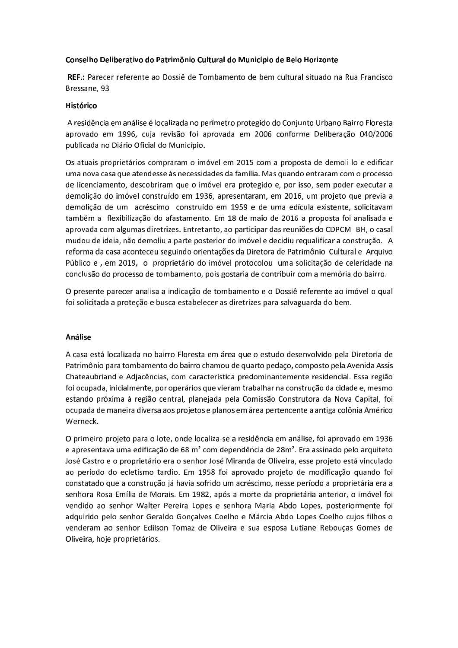## Conselho Deliberativo do Patrimônio Cultural do Município de Belo Horizonte

REF.: Parecer referente ao Dossiê de Tombamento de bem cultural situado na Rua Francisco Bressane, 93

## Histórico

A residência em análise é localizada no perímetro protegido do Conjunto Urbano Bairro Floresta aprovado em 1996, cuja revisão foi aprovada em 2006 conforme Deliberação 040/2006 publicada no Diário Oficial do Município.

Os atuais proprietários compraram o imóvel em 2015 com a proposta de demoli-lo e edificar uma nova casa que atendesse às necessidades da família. Mas quando entraram com o processo de licenciamento, descobriram que o imóvel era protegido e, por isso, sem poder executar a demolição do imóvel construído em 1936, apresentaram, em 2016, um projeto que previa a demolição de um acréscimo construído em 1959 e de uma edícula existente, solicitavam também a flexibilização do afastamento. Em 18 de maio de 2016 a proposta foi analisada e aprovada com algumas diretrizes. Entretanto, ao participar das reuniões do CDPCM-BH, o casal mudou de ideia, não demoliu a parte posterior do imóvel e decidiu requalificar a construção. A reforma da casa aconteceu seguindo orientações da Diretora de Patrimônio Cultural e Arquivo Público e, em 2019, o proprietário do imóvel protocolou uma solicitação de celeridade na conclusão do processo de tombamento, pois gostaria de contribuir com a memória do bairro.

O presente parecer analisa a indicação de tombamento e o Dossiê referente ao imóvel o qual foi solicitada a proteção e busca estabelecer as diretrizes para salvaguarda do bem.

## Análise

A casa está localizada no bairro Floresta em área que o estudo desenvolvido pela Diretoria de Patrimônio para tombamento do bairro chamou de quarto pedaço, composto pela Avenida Assis Chateaubriand e Adjacências, com característica predominantemente residencial. Essa região foi ocupada, inicialmente, por operários que vieram trabalhar na construção da cidade e, mesmo estando próxima à região central, planejada pela Comissão Construtora da Nova Capital, foi ocupada de maneira diversa aos projetos e planos em área pertencente a antiga colônia Américo Werneck.

O primeiro projeto para o lote, onde localiza-se a residência em análise, foi aprovado em 1936 e apresentava uma edificação de 68 m<sup>2</sup> com dependência de 28m<sup>2</sup>. Era assinado pelo arquiteto José Castro e o proprietário era o senhor José Miranda de Oliveira, esse projeto está vinculado ao período do ecletismo tardio. Em 1958 foi aprovado projeto de modificação quando foi constatado que a construção já havia sofrido um acréscimo, nesse período a proprietária era a senhora Rosa Emília de Morais. Em 1982, após a morte da proprietária anterior, o imóvel foi vendido ao senhor Walter Pereira Lopes e senhora Maria Abdo Lopes, posteriormente foi adquirido pelo senhor Geraldo Gonçalves Coelho e Márcia Abdo Lopes Coelho cujos filhos o venderam ao senhor Edilson Tomaz de Oliveira e sua esposa Lutiane Rebouças Gomes de Oliveira, hoje proprietários.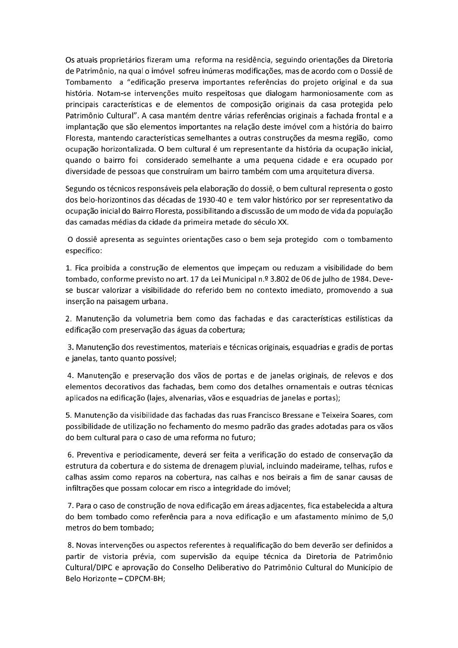Os atuais proprietários fizeram uma reforma na residência, seguindo orientações da Diretoria de Patrimônio, na qual o imóvel sofreu inúmeras modificações, mas de acordo com o Dossiê de Tombamento a "edificação preserva importantes referências do projeto original e da sua história. Notam-se intervenções muito respeitosas que dialogam harmoniosamente com as principais características e de elementos de composição originais da casa protegida pelo Patrimônio Cultural". A casa mantém dentre várias referências originais a fachada frontal e a implantação que são elementos importantes na relação deste imóvel com a história do bairro Floresta, mantendo características semelhantes a outras construções da mesma região, como ocupação horizontalizada. O bem cultural é um representante da história da ocupação inicial, quando o bairro foi considerado semelhante a uma pequena cidade e era ocupado por diversidade de pessoas que construíram um bairro também com uma arquitetura diversa.

Segundo os técnicos responsáveis pela elaboração do dossiê, o bem cultural representa o gosto dos belo-horizontinos das décadas de 1930-40 e tem valor histórico por ser representativo da ocupação inicial do Bairro Floresta, possibilitando a discussão de um modo de vida da população das camadas médias da cidade da primeira metade do século XX.

O dossiê apresenta as seguintes orientações caso o bem seja protegido com o tombamento específico:

1. Fica proibida a construção de elementos que impeçam ou reduzam a visibilidade do bem tombado, conforme previsto no art. 17 da Lei Municipal n.º 3.802 de 06 de julho de 1984. Devese buscar valorizar a visibilidade do referido bem no contexto imediato, promovendo a sua inserção na paisagem urbana.

2. Manutenção da volumetria bem como das fachadas e das características estilísticas da edificação com preservação das águas da cobertura;

3. Manutenção dos revestimentos, materiais e técnicas originais, esquadrias e gradis de portas e janelas, tanto quanto possível;

4. Manutenção e preservação dos vãos de portas e de janelas originais, de relevos e dos elementos decorativos das fachadas, bem como dos detalhes ornamentais e outras técnicas aplicados na edificação (lajes, alvenarias, vãos e esquadrias de janelas e portas);

5. Manutenção da visibilidade das fachadas das ruas Francisco Bressane e Teixeira Soares, com possibilidade de utilização no fechamento do mesmo padrão das grades adotadas para os vãos do bem cultural para o caso de uma reforma no futuro;

6. Preventiva e periodicamente, deverá ser feita a verificação do estado de conservação da estrutura da cobertura e do sistema de drenagem pluvial, incluindo madeirame, telhas, rufos e calhas assim como reparos na cobertura, nas calhas e nos beirais a fim de sanar causas de infiltrações que possam colocar em risco a integridade do imóvel;

7. Para o caso de construção de nova edificação em áreas adjacentes, fica estabelecida a altura do bem tombado como referência para a nova edificação e um afastamento mínimo de 5,0 metros do bem tombado:

8. Novas intervenções ou aspectos referentes à requalificação do bem deverão ser definidos a partir de vistoria prévia, com supervisão da equipe técnica da Diretoria de Patrimônio Cultural/DIPC e aprovação do Conselho Deliberativo do Patrimônio Cultural do Município de Belo Horizonte - CDPCM-BH: